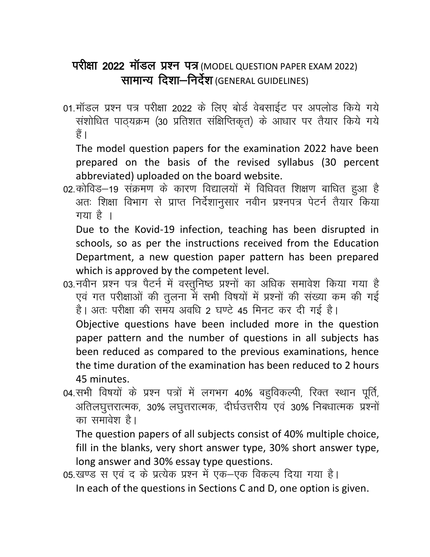## परीक्षा 2022 मॉडल प्रश्न पत्र (MODEL QUESTION PAPER EXAM 2022) सामान्य दिशा-निर्देश (GENERAL GUIDELINES)

01.मॉडल प्रश्न पत्र परीक्षा 2022 के लिए बोर्ड वेबसाईट पर अपलोड किये गये संशोधित पाठ्यक्रम (30 प्रतिशत संक्षिप्तिकृत) के आधार पर तैयार किये गये हैं ।

The model question papers for the examination 2022 have been prepared on the basis of the revised syllabus (30 percent abbreviated) uploaded on the board website.

02. कोविड़–19 संक्रमण के कारण विद्यालयों में विधिवत शिक्षण बाधित हुआ है अतः शिक्षा विभाग से प्राप्त निर्देशानुसार नवीन प्रश्नपत्र पेटर्न तैयार किया गया है ।

Due to the Kovid-19 infection, teaching has been disrupted in schools, so as per the instructions received from the Education Department, a new question paper pattern has been prepared which is approved by the competent level.

03.नवीन प्रश्न पत्र पैटर्न में वस्तुनिष्ठ प्रश्नों का अधिक समावेश किया गया है एवं गत परीक्षाओं की तुलना में सभी विषयों में प्रश्नों की संख्या कम की गई है। अतः परीक्षा की समय अवधि 2 घण्टे 45 मिनट कर दी गई है।

Objective questions have been included more in the question paper pattern and the number of questions in all subjects has been reduced as compared to the previous examinations, hence the time duration of the examination has been reduced to 2 hours 45 minutes.

04. सभी विषयों के प्रश्न पत्रों में लगभग 40% बहुविकल्पी, रिक्त स्थान पूर्ति, अतिलघुत्तरात्मक, 30% लघुत्तरात्मक, दीर्घउत्तरीय एवं 30% निबधात्मक प्रश्नों का समावेश है।

The question papers of all subjects consist of 40% multiple choice, fill in the blanks, very short answer type, 30% short answer type, long answer and 30% essay type questions.

05.खण्ड स एवं द के प्रत्येक प्रश्न में एक–एक विकल्प दिया गया है। In each of the questions in Sections C and D, one option is given.